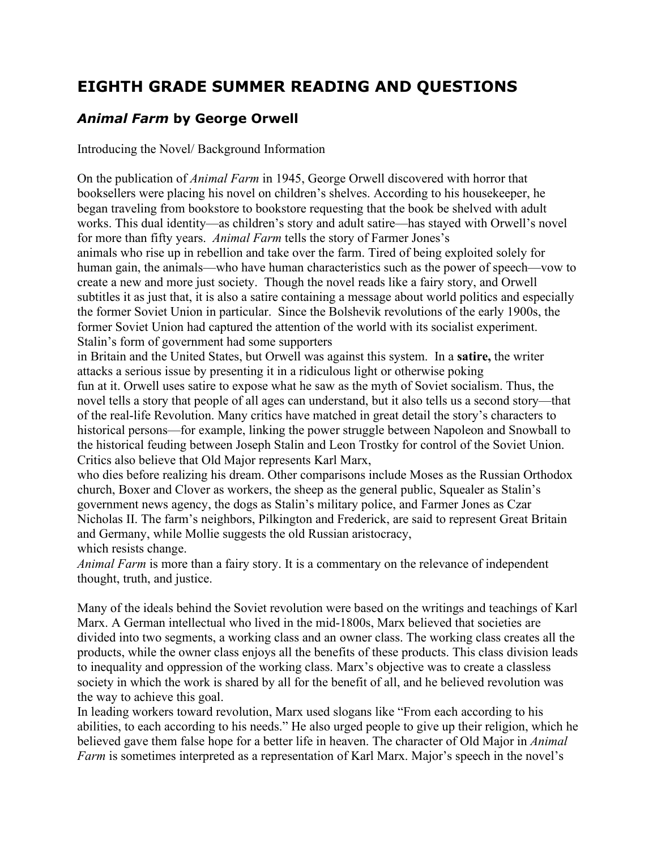# **EIGHTH GRADE SUMMER READING AND QUESTIONS**

## *Animal Farm* **by George Orwell**

Introducing the Novel/ Background Information

On the publication of *Animal Farm* in 1945, George Orwell discovered with horror that booksellers were placing his novel on children's shelves. According to his housekeeper, he began traveling from bookstore to bookstore requesting that the book be shelved with adult works. This dual identity—as children's story and adult satire—has stayed with Orwell's novel for more than fifty years. *Animal Farm* tells the story of Farmer Jones's animals who rise up in rebellion and take over the farm. Tired of being exploited solely for human gain, the animals—who have human characteristics such as the power of speech—vow to create a new and more just society. Though the novel reads like a fairy story, and Orwell subtitles it as just that, it is also a satire containing a message about world politics and especially the former Soviet Union in particular. Since the Bolshevik revolutions of the early 1900s, the former Soviet Union had captured the attention of the world with its socialist experiment. Stalin's form of government had some supporters

in Britain and the United States, but Orwell was against this system. In a **satire,** the writer attacks a serious issue by presenting it in a ridiculous light or otherwise poking fun at it. Orwell uses satire to expose what he saw as the myth of Soviet socialism. Thus, the

novel tells a story that people of all ages can understand, but it also tells us a second story—that of the real-life Revolution. Many critics have matched in great detail the story's characters to historical persons––for example, linking the power struggle between Napoleon and Snowball to the historical feuding between Joseph Stalin and Leon Trostky for control of the Soviet Union. Critics also believe that Old Major represents Karl Marx,

who dies before realizing his dream. Other comparisons include Moses as the Russian Orthodox church, Boxer and Clover as workers, the sheep as the general public, Squealer as Stalin's government news agency, the dogs as Stalin's military police, and Farmer Jones as Czar Nicholas II. The farm's neighbors, Pilkington and Frederick, are said to represent Great Britain and Germany, while Mollie suggests the old Russian aristocracy, which resists change.

*Animal Farm* is more than a fairy story. It is a commentary on the relevance of independent thought, truth, and justice.

Many of the ideals behind the Soviet revolution were based on the writings and teachings of Karl Marx. A German intellectual who lived in the mid-1800s, Marx believed that societies are divided into two segments, a working class and an owner class. The working class creates all the products, while the owner class enjoys all the benefits of these products. This class division leads to inequality and oppression of the working class. Marx's objective was to create a classless society in which the work is shared by all for the benefit of all, and he believed revolution was the way to achieve this goal.

In leading workers toward revolution, Marx used slogans like "From each according to his abilities, to each according to his needs." He also urged people to give up their religion, which he believed gave them false hope for a better life in heaven. The character of Old Major in *Animal Farm* is sometimes interpreted as a representation of Karl Marx. Major's speech in the novel's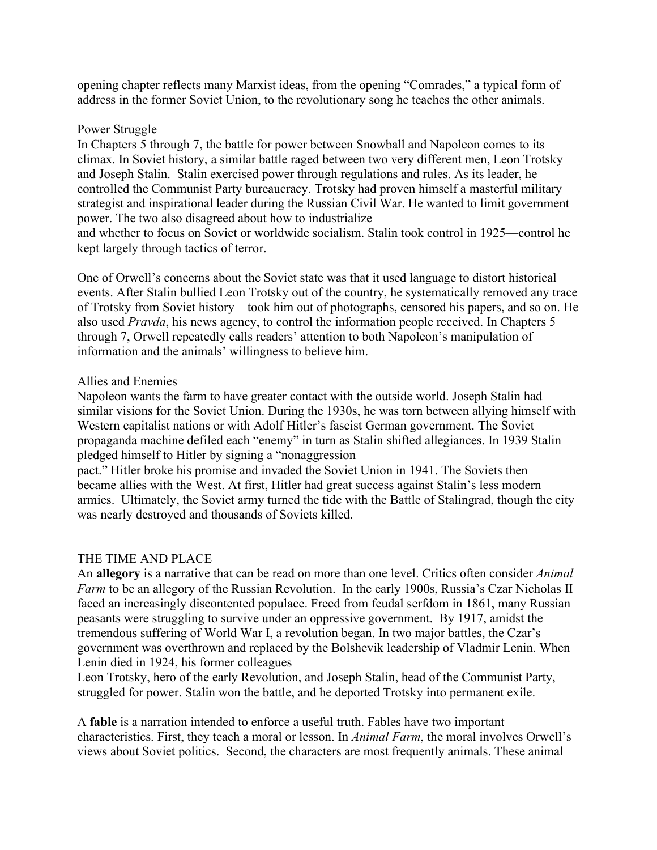opening chapter reflects many Marxist ideas, from the opening "Comrades," a typical form of address in the former Soviet Union, to the revolutionary song he teaches the other animals.

### Power Struggle

In Chapters 5 through 7, the battle for power between Snowball and Napoleon comes to its climax. In Soviet history, a similar battle raged between two very different men, Leon Trotsky and Joseph Stalin. Stalin exercised power through regulations and rules. As its leader, he controlled the Communist Party bureaucracy. Trotsky had proven himself a masterful military strategist and inspirational leader during the Russian Civil War. He wanted to limit government power. The two also disagreed about how to industrialize and whether to focus on Soviet or worldwide socialism. Stalin took control in 1925—control he kept largely through tactics of terror.

One of Orwell's concerns about the Soviet state was that it used language to distort historical events. After Stalin bullied Leon Trotsky out of the country, he systematically removed any trace of Trotsky from Soviet history—took him out of photographs, censored his papers, and so on. He also used *Pravda*, his news agency, to control the information people received. In Chapters 5 through 7, Orwell repeatedly calls readers' attention to both Napoleon's manipulation of information and the animals' willingness to believe him.

#### Allies and Enemies

Napoleon wants the farm to have greater contact with the outside world. Joseph Stalin had similar visions for the Soviet Union. During the 1930s, he was torn between allying himself with Western capitalist nations or with Adolf Hitler's fascist German government. The Soviet propaganda machine defiled each "enemy" in turn as Stalin shifted allegiances. In 1939 Stalin pledged himself to Hitler by signing a "nonaggression

pact." Hitler broke his promise and invaded the Soviet Union in 1941. The Soviets then became allies with the West. At first, Hitler had great success against Stalin's less modern armies. Ultimately, the Soviet army turned the tide with the Battle of Stalingrad, though the city was nearly destroyed and thousands of Soviets killed.

### THE TIME AND PLACE

An **allegory** is a narrative that can be read on more than one level. Critics often consider *Animal Farm* to be an allegory of the Russian Revolution. In the early 1900s, Russia's Czar Nicholas II faced an increasingly discontented populace. Freed from feudal serfdom in 1861, many Russian peasants were struggling to survive under an oppressive government. By 1917, amidst the tremendous suffering of World War I, a revolution began. In two major battles, the Czar's government was overthrown and replaced by the Bolshevik leadership of Vladmir Lenin. When Lenin died in 1924, his former colleagues

Leon Trotsky, hero of the early Revolution, and Joseph Stalin, head of the Communist Party, struggled for power. Stalin won the battle, and he deported Trotsky into permanent exile.

A **fable** is a narration intended to enforce a useful truth. Fables have two important characteristics. First, they teach a moral or lesson. In *Animal Farm*, the moral involves Orwell's views about Soviet politics. Second, the characters are most frequently animals. These animal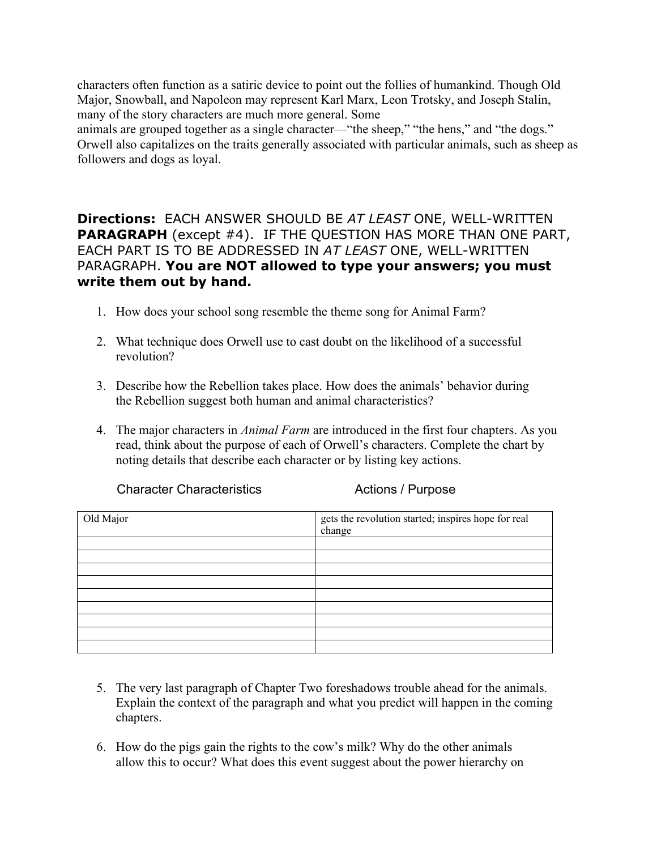characters often function as a satiric device to point out the follies of humankind. Though Old Major, Snowball, and Napoleon may represent Karl Marx, Leon Trotsky, and Joseph Stalin, many of the story characters are much more general. Some

animals are grouped together as a single character—"the sheep," "the hens," and "the dogs." Orwell also capitalizes on the traits generally associated with particular animals, such as sheep as followers and dogs as loyal.

**Directions:** EACH ANSWER SHOULD BE *AT LEAST* ONE, WELL-WRITTEN **PARAGRAPH** (except #4). IF THE QUESTION HAS MORE THAN ONE PART, EACH PART IS TO BE ADDRESSED IN *AT LEAST* ONE, WELL-WRITTEN PARAGRAPH. **You are NOT allowed to type your answers; you must write them out by hand.**

- 1. How does your school song resemble the theme song for Animal Farm?
- 2. What technique does Orwell use to cast doubt on the likelihood of a successful revolution?
- 3. Describe how the Rebellion takes place. How does the animals' behavior during the Rebellion suggest both human and animal characteristics?
- 4. The major characters in *Animal Farm* are introduced in the first four chapters. As you read, think about the purpose of each of Orwell's characters. Complete the chart by noting details that describe each character or by listing key actions.

Character Characteristics **Actions / Purpose** 

| Old Major | gets the revolution started; inspires hope for real<br>change |
|-----------|---------------------------------------------------------------|
|           |                                                               |
|           |                                                               |
|           |                                                               |
|           |                                                               |
|           |                                                               |
|           |                                                               |
|           |                                                               |
|           |                                                               |
|           |                                                               |

- 5. The very last paragraph of Chapter Two foreshadows trouble ahead for the animals. Explain the context of the paragraph and what you predict will happen in the coming chapters.
- 6. How do the pigs gain the rights to the cow's milk? Why do the other animals allow this to occur? What does this event suggest about the power hierarchy on